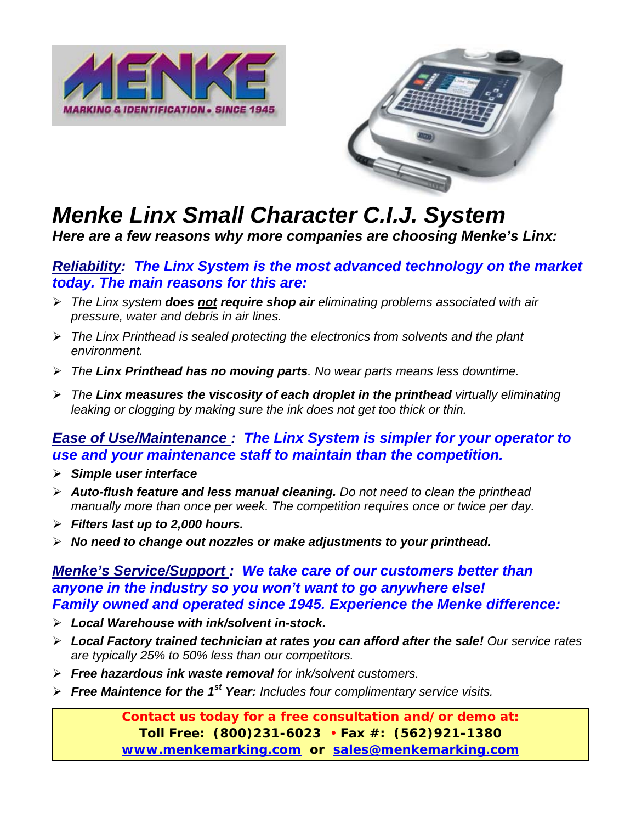



## *Menke Linx Small Character C.I.J. System*

*Here are a few reasons why more companies are choosing Menke's Linx:* 

#### *Reliability: The Linx System is the most advanced technology on the market today. The main reasons for this are:*

- ¾ *The Linx system does not require shop air eliminating problems associated with air pressure, water and debris in air lines.*
- ¾ *The Linx Printhead is sealed protecting the electronics from solvents and the plant environment.*
- ¾ *The Linx Printhead has no moving parts. No wear parts means less downtime.*
- ¾ *The Linx measures the viscosity of each droplet in the printhead virtually eliminating leaking or clogging by making sure the ink does not get too thick or thin.*

#### *Ease of Use/Maintenance : The Linx System is simpler for your operator to use and your maintenance staff to maintain than the competition.*

- ¾ *Simple user interface*
- ¾ *Auto-flush feature and less manual cleaning. Do not need to clean the printhead manually more than once per week. The competition requires once or twice per day.*
- ¾ *Filters last up to 2,000 hours.*
- ¾ *No need to change out nozzles or make adjustments to your printhead.*

#### *Menke's Service/Support : We take care of our customers better than anyone in the industry so you won't want to go anywhere else! Family owned and operated since 1945. Experience the Menke difference:*

- ¾ *Local Warehouse with ink/solvent in-stock.*
- ¾ *Local Factory trained technician at rates you can afford after the sale! Our service rates are typically 25% to 50% less than our competitors.*
- ¾ *Free hazardous ink waste removal for ink/solvent customers.*
- ¾ *Free Maintence for the 1st Year: Includes four complimentary service visits.*

**Contact us today for a free consultation and/or demo at: Toll Free: (800)231-6023** • **Fax #: (562)921-1380 www.menkemarking.com or sales@menkemarking.com**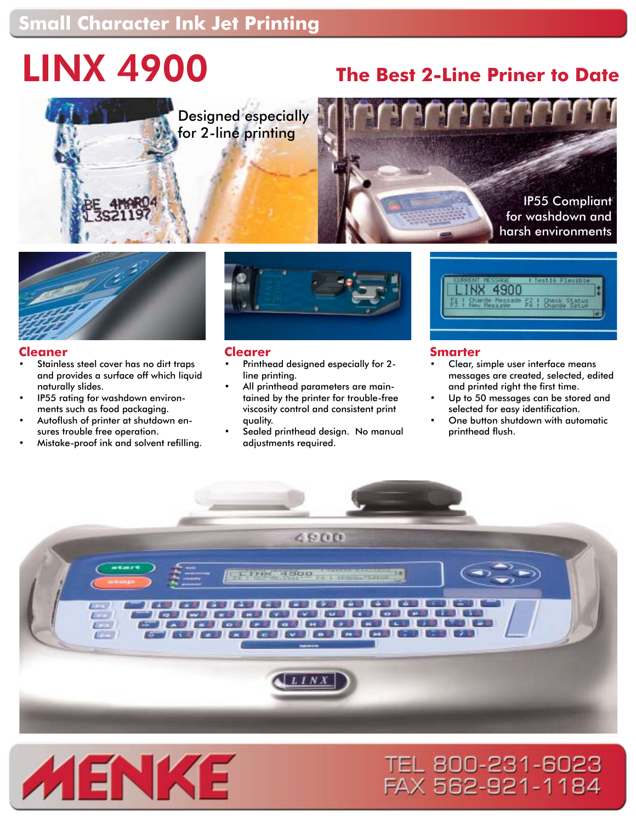## **Small Character Ink Jet Printing**

# LINX 4900 **The Best 2-Line Priner to Date**



Designed especially for 2-line printing







#### **Cleaner**

- Stainless steel cover has no dirt traps and provides a surface off which liquid naturally slides. •
- IP55 rating for washdown environments such as food packaging. •
- Autoflush of printer at shutdown ensures trouble free operation. •
- Mistake-proof ink and solvent refilling. •



#### **Clearer**

- Printhead designed especially for 2 line printing. •
- All printhead parameters are maintained by the printer for trouble-free viscosity control and consistent print quality. •
- Sealed printhead design. No manual adjustments required. •



#### **Smarter**

- Clear, simple user interface means messages are created, selected, edited and printed right the first time. •
- Up to 50 messages can be stored and selected for easy identification. •
- One button shutdown with automatic printhead flush. •

TEL 800-231-6023 FAX 562-921-1184